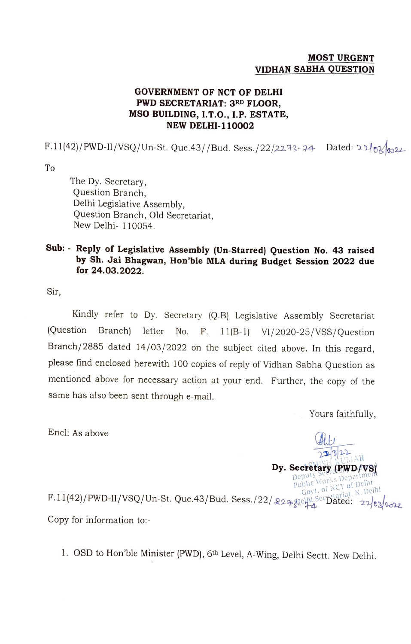## MOST URGENT VIDHAN SABHA QUESTION

## GOVERNMENT OF NCT OF DELHI PWD SECRETARIAT: 3RD FLOOR, MSO BUILDING, I.T.0., 1.P. ESTATE, NEW DELHI-110002

F.11(42)/PWD-II/VSQ/Un-St. Que.43//Bud. Sess./22/22.73-74 Dated: 21/03/22

To

The Dy. Secretary, Question Branch, Delhi Legislative Assembly, Question Branch, Old Secretariat, New Delhi- 110054.

## Sub: Reply of Legislative Assembly (Un-Starred) Question No. 43 raised by Sh. Jai Bhagwan, Hon'ble MLA during Budget Session 2022 due for 24.03.2022.

Sir,

Kindly refer to Dy. Secretary (Q.B) Legislative Assembly Secretariat (Question Branch) letter No. F. 11(B-1) VI/2020-25/VSS/Question Branch/2885 dated 14/03/2022 on the subject cited above. In this regard, please find enclosed herewith 100 copies of reply of Vidhan Sabha Question as mentioned above for necessary action at your end. Further, the copy of the same has also been sent through e-mail.

Yours faithfully,

 $322$ 

Dy. Secretary (RWD/VS) Deputy Section as Department

Encl: As above

Public Works Dep<br>Govt. of NCT of Delhi<br>Correlatiat, N. Del Delhi  $F.11(42)/PWD-II/VSQ/Un-St. Que.43/Bud. Sess./22/Q27224$ Copy for information to:

1. OSD to Hon'ble Minister (PWD), 6th Level, A-Wing, Delhi Sectt. New Delhi.